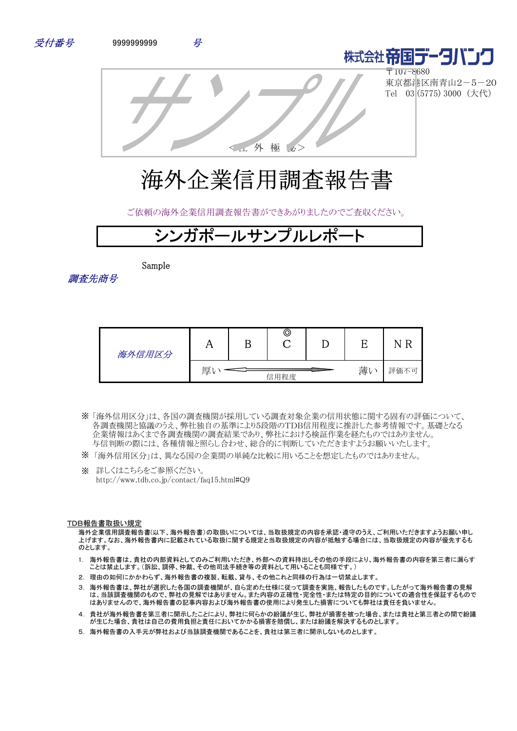



〒107-8680 東京都港区南青山2-5-20 Tel 03 (5775) 3000 (大代)

<社 外 極 秘>

# 海外企業信用調査報告書

ご依頼の海外企業信用調査報告書ができあがりましたのでご査収ください。

# **ガポールサンプルレポ**

Sample

調査先商号

| 海外信用区分 | 77 | ©    |    |      |
|--------|----|------|----|------|
|        | 厚  | 信用程度 | 薄い | 評価不可 |

- 「海外信用区分」は、各国の調査機関が採用している調査対象企業の信用状態に関する固有の評価について、 ※ 各調査機関と協議のうえ、弊社独自の基準により5段階のTDB信用程度に推計した参考情報です。基礎となる 企業情報はあくまで各調査機関の調査結果であり、弊社における検証作業を経たものではありません。 与信判断の際には、各種情報と照らし合わせ、総合的に判断していただきますようお願いいたします。
- ※ 「海外信用区分」は、異なる国の企業間の単純な比較に用いることを想定したものではありません。
- ※ 詳しくはこちらをご参照ください。 http://www.tdb.co.jp/contact/faq15.html#Q9

#### TDB報告書取扱い規定

海外企業信用調査報告書(以下、海外報告書)の取扱いについては、当取扱規定の内容を承認・遵守のうえ、ご利用いただきますようお願い申し 上げます。なお、海外報告書内に記載されている取扱に関する規定と当取扱規定の内容が抵触する場合には、当取扱規定の内容が優先するも のとします。

- 1. 海外報告書は、貴社の内部資料としてのみご利用いただき、外部への資料持出しその他の手段により、海外報告書の内容を第三者に漏らす ことは禁止します。(訴訟、調停、仲裁、その他司法手続き等の資料として用いることも同様です。)
- 2. 理由の如何にかかわらず、海外報告書の複製、転載、貸与、その他これと同様の行為は一切禁止します。
- 3. 海外報告書は、弊社が選択した各国の調査機関が、自ら定めた仕様に従って調査を実施、報告したものです。したがって海外報告書の見解 は、当該調査機関のもので、弊社の見解ではありません。また内容の正確性・完全性・または特定の目的についての適合性を保証するもので はありませんので、海外報告書の記事内容および海外報告書の使用により発生した損害についても弊社は責任を負いません。
- 4. 貴社が海外報告書を第三者に開示したことにより、弊社に何らかの紛議が生じ、弊社が損害を被った場合、または貴社と第三者との間で紛議 が生じた場合、貴社は自己の費用負担と責任においてかかる損害を賠償し、または紛議を解決するものとします。
- 5. 海外報告書の入手元が弊社および当該調査機関であることを、貴社は第三者に開示しないものとします。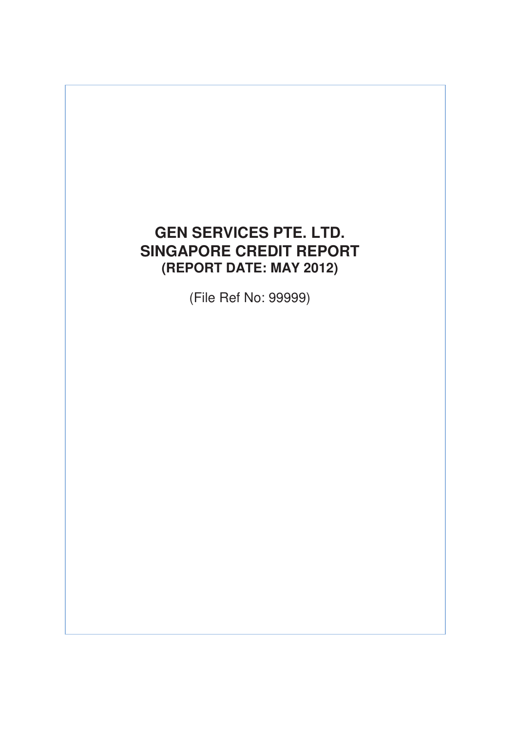# **GEN SERVICES PTE. LTD. SINGAPORE CREDIT REPORT (REPORT DATE: MAY 2012)**

(File Ref No: 99999)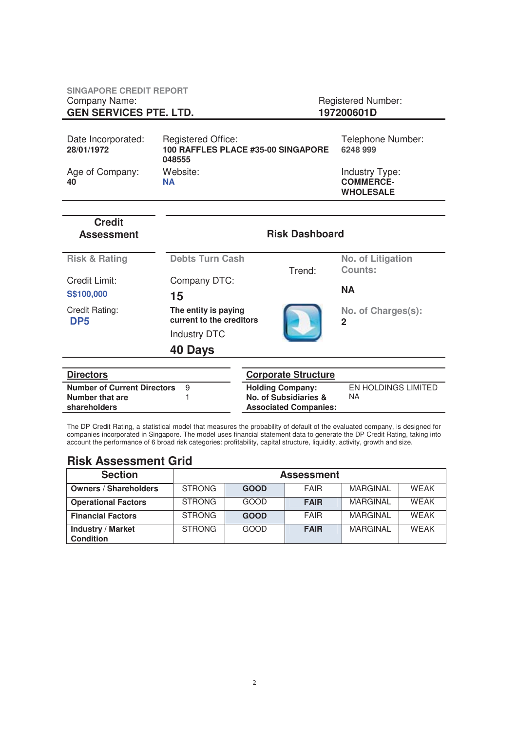| <b>SINGAPORE CREDIT REPORT</b><br>Company Name:<br><b>GEN SERVICES PTE. LTD.</b> |                                                                           | <b>Registered Number:</b><br>197200601D                |  |  |
|----------------------------------------------------------------------------------|---------------------------------------------------------------------------|--------------------------------------------------------|--|--|
| Date Incorporated:<br>28/01/1972                                                 | <b>Registered Office:</b><br>100 RAFFLES PLACE #35-00 SINGAPORE<br>048555 | Telephone Number:<br>6248 999                          |  |  |
| Age of Company:<br>40                                                            | Website:<br><b>NA</b>                                                     | Industry Type:<br><b>COMMERCE-</b><br><b>WHOLESALE</b> |  |  |

| <b>Credit</b><br><b>Assessment</b> | <b>Risk Dashboard</b>                            |                            |                                     |  |  |
|------------------------------------|--------------------------------------------------|----------------------------|-------------------------------------|--|--|
| <b>Risk &amp; Rating</b>           | <b>Debts Turn Cash</b>                           | Trend:                     | No. of Litigation<br><b>Counts:</b> |  |  |
| Credit Limit:<br>S\$100,000        | Company DTC:<br>15                               |                            | <b>NA</b>                           |  |  |
| Credit Rating:<br>DP <sub>5</sub>  | The entity is paying<br>current to the creditors |                            | No. of Charges(s):<br>$\mathbf 2$   |  |  |
|                                    | <b>Industry DTC</b>                              |                            |                                     |  |  |
|                                    | 40 Days                                          |                            |                                     |  |  |
|                                    |                                                  |                            |                                     |  |  |
| <b>Directors</b>                   |                                                  | <b>Corporate Structure</b> |                                     |  |  |
| <b>Number of Current Directors</b> | 9                                                | <b>Holding Company:</b>    | EN HOLDINGS LIMITED<br>NA.          |  |  |
| Number that are                    |                                                  | No. of Subsidiaries &      |                                     |  |  |

The DP Credit Rating, a statistical model that measures the probability of default of the evaluated company, is designed for companies incorporated in Singapore. The model uses financial statement data to generate the DP Credit Rating, taking into account the performance of 6 broad risk categories: profitability, capital structure, liquidity, activity, growth and size.

**Associated Companies:** 

### **Risk Assessment Grid**

**shareholders** 

| <b>Section</b>                               |               | <b>Assessment</b> |             |                 |             |  |  |  |
|----------------------------------------------|---------------|-------------------|-------------|-----------------|-------------|--|--|--|
| <b>Owners / Shareholders</b>                 | <b>STRONG</b> | <b>GOOD</b>       | <b>FAIR</b> | <b>MARGINAL</b> | <b>WFAK</b> |  |  |  |
| <b>Operational Factors</b>                   | <b>STRONG</b> | GOOD              | <b>FAIR</b> | <b>MARGINAL</b> | <b>WFAK</b> |  |  |  |
| <b>Financial Factors</b>                     | <b>STRONG</b> | <b>GOOD</b>       | <b>FAIR</b> | <b>MARGINAL</b> | <b>WFAK</b> |  |  |  |
| <b>Industry / Market</b><br><b>Condition</b> | <b>STRONG</b> | GOOD              | <b>FAIR</b> | <b>MARGINAL</b> | <b>WFAK</b> |  |  |  |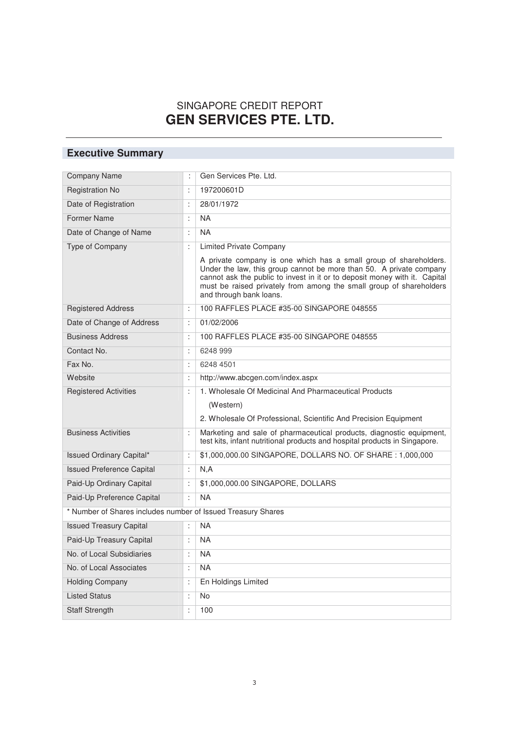### SINGAPORE CREDIT REPORT **GEN SERVICES PTE. LTD.**

## **Executive Summary**

| <b>Company Name</b>                                          | ÷                    | Gen Services Pte. Ltd.                                                                                                                                                                                                                                                                                                   |
|--------------------------------------------------------------|----------------------|--------------------------------------------------------------------------------------------------------------------------------------------------------------------------------------------------------------------------------------------------------------------------------------------------------------------------|
| <b>Registration No</b>                                       | $\ddot{\cdot}$       | 197200601D                                                                                                                                                                                                                                                                                                               |
| Date of Registration                                         | ÷                    | 28/01/1972                                                                                                                                                                                                                                                                                                               |
| <b>Former Name</b>                                           | $\ddot{\cdot}$       | <b>NA</b>                                                                                                                                                                                                                                                                                                                |
| Date of Change of Name                                       | ÷                    | <b>NA</b>                                                                                                                                                                                                                                                                                                                |
| Type of Company                                              | ÷                    | <b>Limited Private Company</b>                                                                                                                                                                                                                                                                                           |
|                                                              |                      | A private company is one which has a small group of shareholders.<br>Under the law, this group cannot be more than 50. A private company<br>cannot ask the public to invest in it or to deposit money with it. Capital<br>must be raised privately from among the small group of shareholders<br>and through bank loans. |
| <b>Registered Address</b>                                    | $\ddot{\phantom{a}}$ | 100 RAFFLES PLACE #35-00 SINGAPORE 048555                                                                                                                                                                                                                                                                                |
| Date of Change of Address                                    | ÷                    | 01/02/2006                                                                                                                                                                                                                                                                                                               |
| <b>Business Address</b>                                      | $\ddot{\phantom{a}}$ | 100 RAFFLES PLACE #35-00 SINGAPORE 048555                                                                                                                                                                                                                                                                                |
| Contact No.                                                  | ÷                    | 6248 999                                                                                                                                                                                                                                                                                                                 |
| Fax No.                                                      | ÷                    | 6248 4501                                                                                                                                                                                                                                                                                                                |
| Website                                                      | ÷                    | http://www.abcgen.com/index.aspx                                                                                                                                                                                                                                                                                         |
| <b>Registered Activities</b>                                 | ÷                    | 1. Wholesale Of Medicinal And Pharmaceutical Products                                                                                                                                                                                                                                                                    |
|                                                              |                      | (Western)<br>2. Wholesale Of Professional, Scientific And Precision Equipment                                                                                                                                                                                                                                            |
| <b>Business Activities</b>                                   | ÷                    | Marketing and sale of pharmaceutical products, diagnostic equipment,<br>test kits, infant nutritional products and hospital products in Singapore.                                                                                                                                                                       |
| <b>Issued Ordinary Capital*</b>                              | $\ddot{\cdot}$       | \$1,000,000.00 SINGAPORE, DOLLARS NO. OF SHARE: 1,000,000                                                                                                                                                                                                                                                                |
| <b>Issued Preference Capital</b>                             | ÷                    | N, A                                                                                                                                                                                                                                                                                                                     |
| Paid-Up Ordinary Capital                                     | $\ddot{\phantom{a}}$ | \$1,000,000.00 SINGAPORE, DOLLARS                                                                                                                                                                                                                                                                                        |
| Paid-Up Preference Capital                                   | ÷                    | <b>NA</b>                                                                                                                                                                                                                                                                                                                |
| * Number of Shares includes number of Issued Treasury Shares |                      |                                                                                                                                                                                                                                                                                                                          |
| <b>Issued Treasury Capital</b>                               | ÷                    | <b>NA</b>                                                                                                                                                                                                                                                                                                                |
| Paid-Up Treasury Capital                                     | ÷                    | <b>NA</b>                                                                                                                                                                                                                                                                                                                |
| No. of Local Subsidiaries                                    | $\ddot{\phantom{a}}$ | <b>NA</b>                                                                                                                                                                                                                                                                                                                |
| No. of Local Associates                                      | $\ddot{\cdot}$       | <b>NA</b>                                                                                                                                                                                                                                                                                                                |
| <b>Holding Company</b>                                       | $\ddot{\cdot}$       | En Holdings Limited                                                                                                                                                                                                                                                                                                      |
| <b>Listed Status</b>                                         | $\ddot{\cdot}$       | No                                                                                                                                                                                                                                                                                                                       |
| <b>Staff Strength</b>                                        | ċ                    | 100                                                                                                                                                                                                                                                                                                                      |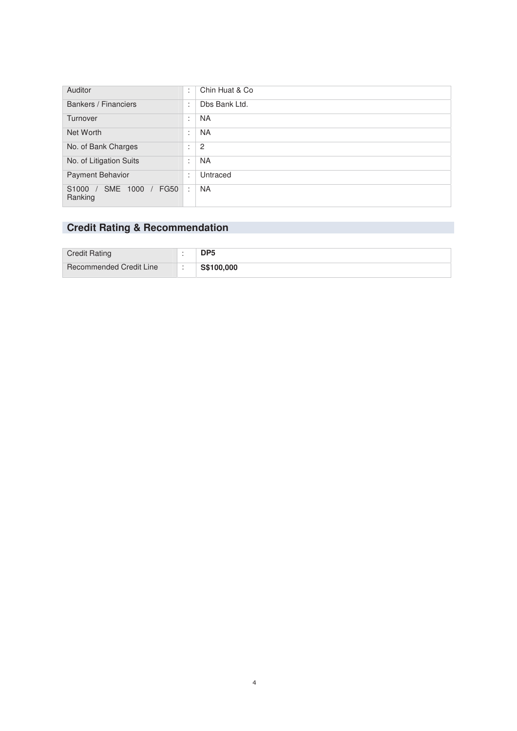| <b>Auditor</b>                                | ٠<br>$\mathbf{r}$              | Chin Huat & Co |
|-----------------------------------------------|--------------------------------|----------------|
| Bankers / Financiers                          | $\cdot$<br>$\cdot$             | Dbs Bank Ltd.  |
| Turnover                                      | $\blacksquare$<br>$\mathbf{r}$ | NA.            |
| Net Worth                                     | ٠<br>$\mathbf{r}$              | NA.            |
| No. of Bank Charges                           | ٠<br>٠.                        | $\overline{c}$ |
| No. of Litigation Suits                       | ٠<br>$\sim$                    | NA.            |
| <b>Payment Behavior</b>                       | ٠<br>٠.                        | Untraced       |
| SME 1000<br><b>FG50</b><br>S1000 /<br>Ranking | ÷                              | <b>NA</b>      |

### **Credit Rating & Recommendation**

| <b>Credit Rating</b>           | DP5        |
|--------------------------------|------------|
| <b>Recommended Credit Line</b> | S\$100,000 |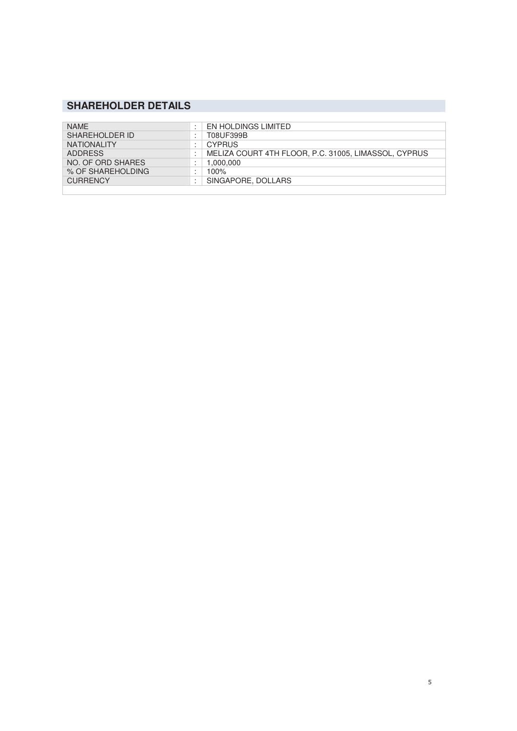### **SHAREHOLDER DETAILS**

| <b>NAMF</b>        | $\bullet$                                  | EN HOLDINGS LIMITED                                  |
|--------------------|--------------------------------------------|------------------------------------------------------|
| SHAREHOLDER ID     | $\overline{\phantom{a}}$                   | T08UF399B                                            |
| <b>NATIONALITY</b> | $\cdot$<br>٠                               | <b>CYPRUS</b>                                        |
| <b>ADDRESS</b>     | $\overline{\phantom{a}}$                   | MELIZA COURT 4TH FLOOR, P.C. 31005, LIMASSOL, CYPRUS |
| NO. OF ORD SHARES  | $\bullet$                                  | 1,000,000                                            |
| % OF SHAREHOLDING  | $\blacksquare$<br>$\overline{\phantom{a}}$ | 100%                                                 |
| <b>CURRENCY</b>    | $\blacksquare$                             | SINGAPORE, DOLLARS                                   |
|                    |                                            |                                                      |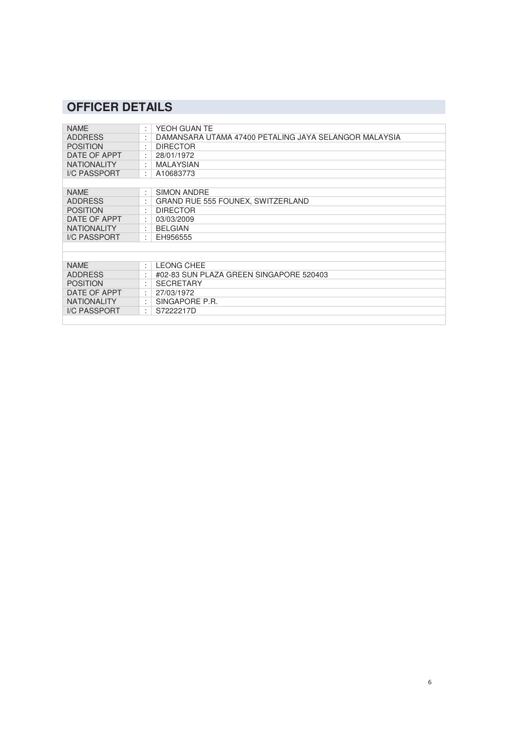## **OFFICER DETAILS**

| <b>NAME</b>         | ÷                    | YEOH GUAN TE                                          |
|---------------------|----------------------|-------------------------------------------------------|
| <b>ADDRESS</b>      | ÷                    | DAMANSARA UTAMA 47400 PETALING JAYA SELANGOR MALAYSIA |
| <b>POSITION</b>     |                      | <b>DIRECTOR</b>                                       |
| DATE OF APPT        | ÷                    | 28/01/1972                                            |
| <b>NATIONALITY</b>  | ÷                    | <b>MALAYSIAN</b>                                      |
| <b>I/C PASSPORT</b> | ÷                    | A10683773                                             |
|                     |                      |                                                       |
| <b>NAME</b>         | ÷                    | SIMON ANDRE                                           |
| <b>ADDRESS</b>      |                      | <b>GRAND RUE 555 FOUNEX, SWITZERLAND</b>              |
| <b>POSITION</b>     | ÷                    | <b>DIRECTOR</b>                                       |
| DATE OF APPT        | ÷                    | 03/03/2009                                            |
| <b>NATIONALITY</b>  | ٠                    | <b>BELGIAN</b>                                        |
| I/C PASSPORT        | $\ddot{\phantom{a}}$ | EH956555                                              |
|                     |                      |                                                       |
|                     |                      |                                                       |
| <b>NAME</b>         | ÷                    | <b>LEONG CHEE</b>                                     |
| <b>ADDRESS</b>      | $\cdot$              | #02-83 SUN PLAZA GREEN SINGAPORE 520403               |
| <b>POSITION</b>     | $\cdot$              | SECRETARY                                             |
| DATE OF APPT        | ÷                    | 27/03/1972                                            |
| <b>NATIONALITY</b>  |                      | SINGAPORE P.R.                                        |
| <b>I/C PASSPORT</b> | ÷                    | S7222217D                                             |
|                     |                      |                                                       |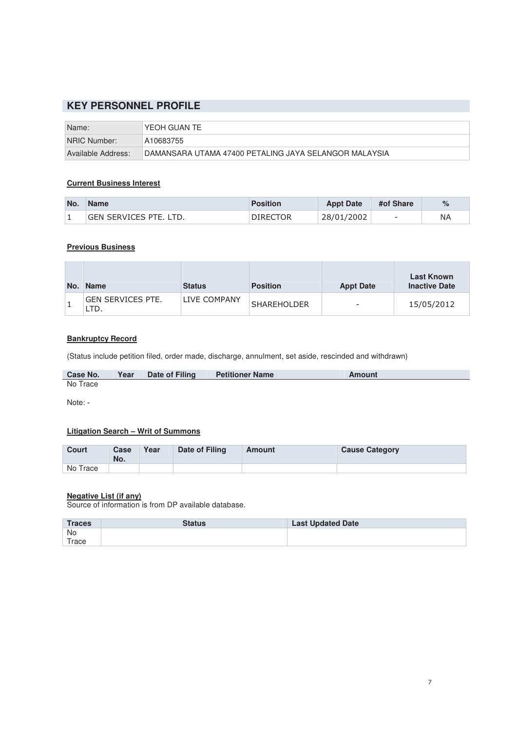### **KEY PERSONNEL PROFILE**

| Name:              | "YEOH GUAN TE                                          |
|--------------------|--------------------------------------------------------|
| NRIC Number:       | A10683755                                              |
| Available Address: | ∣DAMANSARA UTAMA 47400 PETALING JAYA SELANGOR MALAYSIA |

### **Current Business Interest**

| No. | <b>Name</b>                   | <b>Position</b> | <b>Appt Date</b> | #of Share                | $\%$ |
|-----|-------------------------------|-----------------|------------------|--------------------------|------|
|     | <b>GEN SERVICES PTE. LTD.</b> | <b>DIRECTOR</b> | 28/01/2002       | $\overline{\phantom{a}}$ | NA   |

### **Previous Business**

| No. | <b>Name</b>       | <b>Status</b> | <b>Position</b>    | <b>Appt Date</b> | <b>Last Known</b><br><b>Inactive Date</b> |
|-----|-------------------|---------------|--------------------|------------------|-------------------------------------------|
|     | GEN SERVICES PTE. | LIVE COMPANY  | <b>SHAREHOLDER</b> |                  | 15/05/2012                                |

### **Bankruptcy Record**

(Status include petition filed, order made, discharge, annulment, set aside, rescinded and withdrawn)

| <b>Case No.</b> | Year | Date of Filing | <b>Petitioner Name</b> | Amount |
|-----------------|------|----------------|------------------------|--------|
| No Trace        |      |                |                        |        |

Note: -

I

### **Litigation Search – Writ of Summons**

| Court    | Case<br>No. | Year | Date of Filing | Amount | <b>Cause Category</b> |
|----------|-------------|------|----------------|--------|-----------------------|
| No Trace |             |      |                |        |                       |

### **Negative List (if any)**

Source of information is from DP available database.

| <b>Traces</b> | <b>Status</b> | <b>Last Updated Date</b> |
|---------------|---------------|--------------------------|
| No            |               |                          |
| Trace         |               |                          |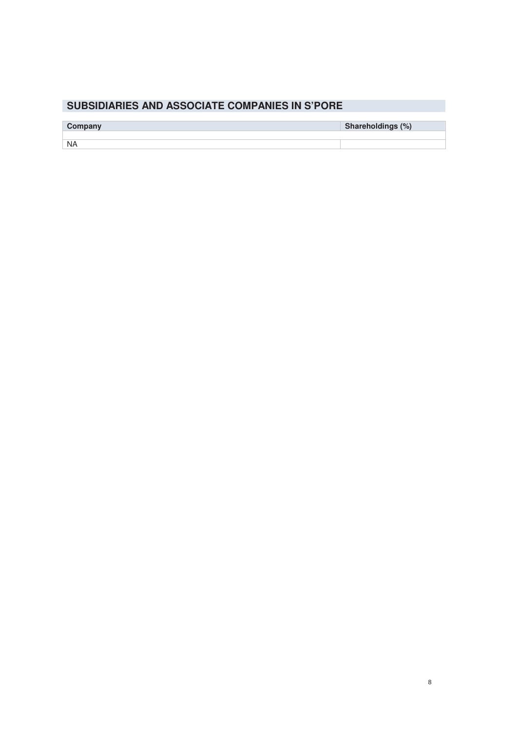### **SUBSIDIARIES AND ASSOCIATE COMPANIES IN S'PORE**

| Company   | Shareholdings (%) |
|-----------|-------------------|
|           |                   |
| <b>NA</b> |                   |
|           |                   |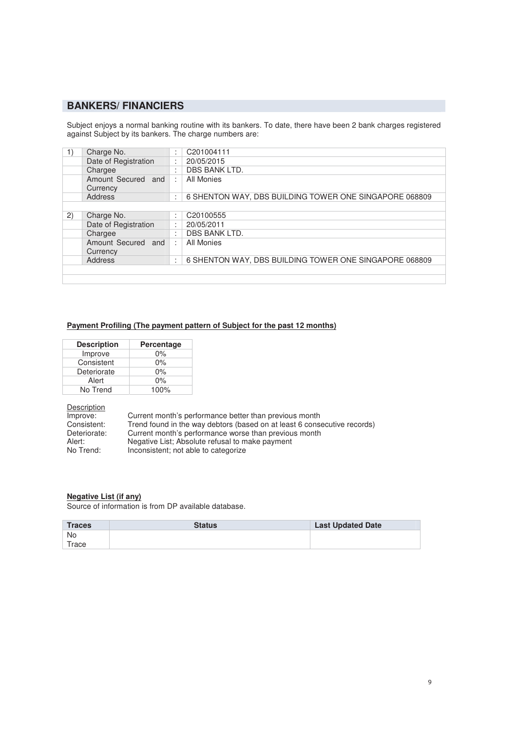### **BANKERS/ FINANCIERS**

Subject enjoys a normal banking routine with its bankers. To date, there have been 2 bank charges registered against Subject by its bankers. The charge numbers are:

| 1)  | Charge No.                        | ٠<br>$\cdot$         | C201004111                                             |
|-----|-----------------------------------|----------------------|--------------------------------------------------------|
|     | Date of Registration              | $\cdot$              | 20/05/2015                                             |
|     | Chargee                           | $\bullet$            | DBS BANK LTD.                                          |
|     | Amount Secured<br>and<br>Currency | ÷                    | All Monies                                             |
|     | Address                           | $\bullet$<br>$\cdot$ | 6 SHENTON WAY, DBS BUILDING TOWER ONE SINGAPORE 068809 |
|     |                                   |                      |                                                        |
| (2) | Charge No.                        | ٠<br>$\cdot$         | C20100555                                              |
|     | Date of Registration              | $\cdot$              | 20/05/2011                                             |
|     | Chargee                           | $\bullet$            | DBS BANK LTD.                                          |
|     | Amount Secured and<br>Currency    | ÷                    | All Monies                                             |
|     | <b>Address</b>                    | $\bullet$<br>$\cdot$ | 6 SHENTON WAY, DBS BUILDING TOWER ONE SINGAPORE 068809 |
|     |                                   |                      |                                                        |
|     |                                   |                      |                                                        |

#### **Payment Profiling (The payment pattern of Subject for the past 12 months)**

| <b>Description</b> | Percentage |
|--------------------|------------|
| Improve            | $0\%$      |
| Consistent         | $0\%$      |
| Deteriorate        | $0\%$      |
| Alert              | $0\%$      |
| No Trend           | 100%       |

Description<br>Improve:

Improve: Current month's performance better than previous month<br>Consistent: Trend found in the way debtors (based on at least 6 conse Consistent: Trend found in the way debtors (based on at least 6 consecutive records) Deteriorate: Current month's performance worse than previous month Alert: Negative List; Absolute refusal to make payment<br>No Trend: lnconsistent; not able to categorize Inconsistent; not able to categorize

#### **Negative List (if any)**

Source of information is from DP available database.

| <b>Traces</b> | <b>Status</b> | <b>Last Updated Date</b> |
|---------------|---------------|--------------------------|
| <b>No</b>     |               |                          |
| Trace         |               |                          |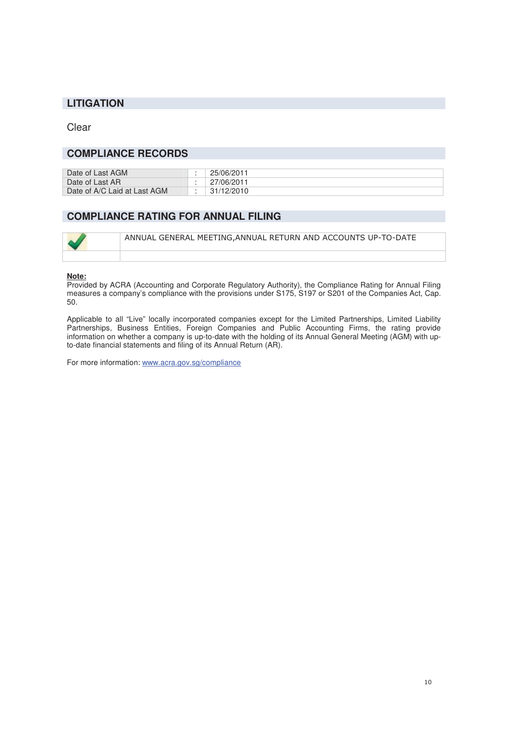### **LITIGATION**

Clear

### **COMPLIANCE RECORDS**

| Date of Last AGM             | 25/06/2011 |
|------------------------------|------------|
| Date of Last AR              | 27/06/2011 |
| Date of A/C Laid at Last AGM | 31/12/2010 |

### **COMPLIANCE RATING FOR ANNUAL FILING**

| ANNUAL GENERAL MEETING, ANNUAL RETURN AND ACCOUNTS UP-TO-DATE |
|---------------------------------------------------------------|
|                                                               |

### **Note:**

Provided by ACRA (Accounting and Corporate Regulatory Authority), the Compliance Rating for Annual Filing measures a company's compliance with the provisions under S175, S197 or S201 of the Companies Act, Cap. 50.

Applicable to all "Live" locally incorporated companies except for the Limited Partnerships, Limited Liability Partnerships, Business Entities, Foreign Companies and Public Accounting Firms, the rating provide information on whether a company is up-to-date with the holding of its Annual General Meeting (AGM) with upto-date financial statements and filing of its Annual Return (AR).

For more information: www.acra.gov.sg/compliance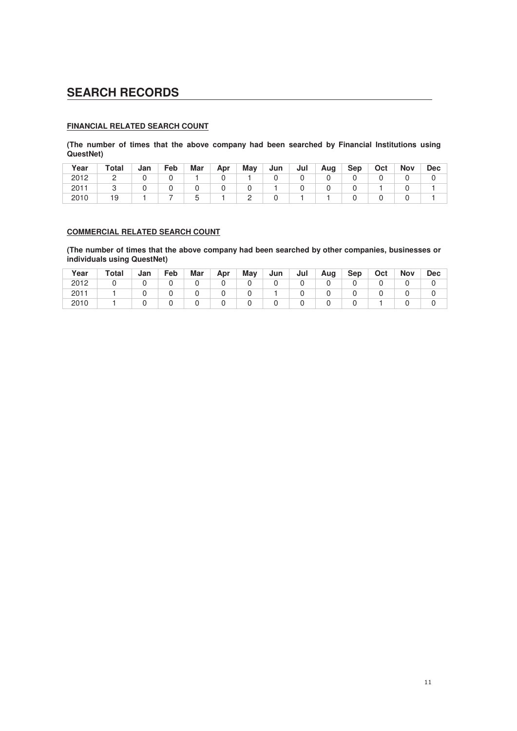### **SEARCH RECORDS**

### **FINANCIAL RELATED SEARCH COUNT**

**(The number of times that the above company had been searched by Financial Institutions using QuestNet)** 

| Year | Total | Jan | Feb | Mar | Apr | Mav | Jun | Jul | Aug | <b>Sep</b> | Oct | <b>Nov</b> | <b>Dec</b> |
|------|-------|-----|-----|-----|-----|-----|-----|-----|-----|------------|-----|------------|------------|
| 2012 |       |     |     |     |     |     |     |     |     |            |     |            |            |
| 2011 |       |     |     |     |     |     |     |     |     |            |     |            |            |
| 2010 | 19    |     |     |     |     |     |     |     |     |            |     |            |            |

### **COMMERCIAL RELATED SEARCH COUNT**

**(The number of times that the above company had been searched by other companies, businesses or individuals using QuestNet)** 

| Year | Total | Jan | Feb | Mar | Apr | May | Jun | Jul | Aug | <b>Sep</b> | Oct | <b>Nov</b> | <b>Dec</b> |
|------|-------|-----|-----|-----|-----|-----|-----|-----|-----|------------|-----|------------|------------|
| 2012 |       |     |     |     |     |     |     |     |     |            |     |            |            |
| 2011 |       |     |     |     |     |     |     |     |     |            |     |            |            |
| 2010 |       |     |     |     |     |     |     |     |     |            |     |            |            |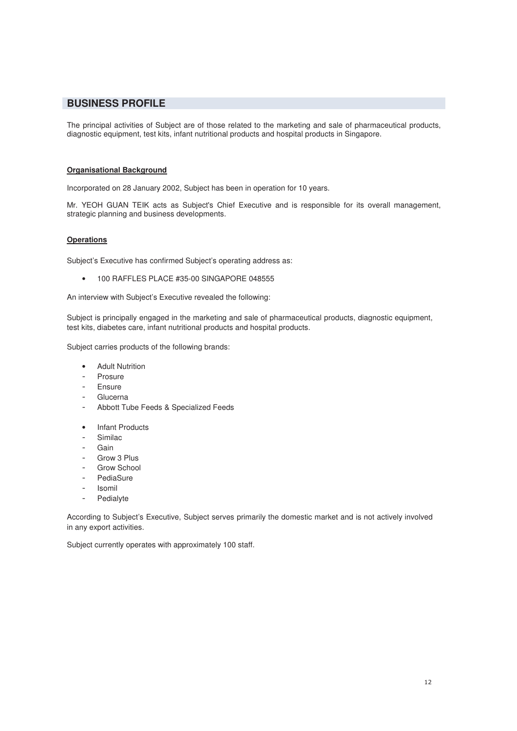### **BUSINESS PROFILE**

The principal activities of Subject are of those related to the marketing and sale of pharmaceutical products, diagnostic equipment, test kits, infant nutritional products and hospital products in Singapore.

### **Organisational Background**

Incorporated on 28 January 2002, Subject has been in operation for 10 years.

Mr. YEOH GUAN TEIK acts as Subject's Chief Executive and is responsible for its overall management, strategic planning and business developments.

### **Operations**

Subject's Executive has confirmed Subject's operating address as:

• 100 RAFFLES PLACE #35-00 SINGAPORE 048555

An interview with Subject's Executive revealed the following:

Subject is principally engaged in the marketing and sale of pharmaceutical products, diagnostic equipment, test kits, diabetes care, infant nutritional products and hospital products.

Subject carries products of the following brands:

- Adult Nutrition
- Prosure
- Ensure
- Glucerna
- Abbott Tube Feeds & Specialized Feeds
- Infant Products
- Similac
- Gain
- Grow 3 Plus
- Grow School
- PediaSure
- Isomil
- Pedialyte

According to Subject's Executive, Subject serves primarily the domestic market and is not actively involved in any export activities.

Subject currently operates with approximately 100 staff.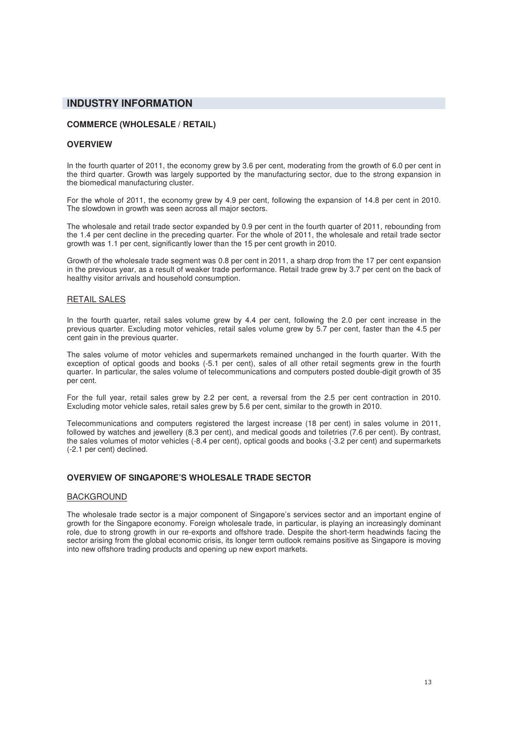### **INDUSTRY INFORMATION**

### **COMMERCE (WHOLESALE / RETAIL)**

### **OVERVIEW**

In the fourth quarter of 2011, the economy grew by 3.6 per cent, moderating from the growth of 6.0 per cent in the third quarter. Growth was largely supported by the manufacturing sector, due to the strong expansion in the biomedical manufacturing cluster.

For the whole of 2011, the economy grew by 4.9 per cent, following the expansion of 14.8 per cent in 2010. The slowdown in growth was seen across all major sectors.

The wholesale and retail trade sector expanded by 0.9 per cent in the fourth quarter of 2011, rebounding from the 1.4 per cent decline in the preceding quarter. For the whole of 2011, the wholesale and retail trade sector growth was 1.1 per cent, significantly lower than the 15 per cent growth in 2010.

Growth of the wholesale trade segment was 0.8 per cent in 2011, a sharp drop from the 17 per cent expansion in the previous year, as a result of weaker trade performance. Retail trade grew by 3.7 per cent on the back of healthy visitor arrivals and household consumption.

#### RETAIL SALES

In the fourth quarter, retail sales volume grew by 4.4 per cent, following the 2.0 per cent increase in the previous quarter. Excluding motor vehicles, retail sales volume grew by 5.7 per cent, faster than the 4.5 per cent gain in the previous quarter.

The sales volume of motor vehicles and supermarkets remained unchanged in the fourth quarter. With the exception of optical goods and books (-5.1 per cent), sales of all other retail segments grew in the fourth quarter. In particular, the sales volume of telecommunications and computers posted double-digit growth of 35 per cent.

For the full year, retail sales grew by 2.2 per cent, a reversal from the 2.5 per cent contraction in 2010. Excluding motor vehicle sales, retail sales grew by 5.6 per cent, similar to the growth in 2010.

Telecommunications and computers registered the largest increase (18 per cent) in sales volume in 2011, followed by watches and jewellery (8.3 per cent), and medical goods and toiletries (7.6 per cent). By contrast, the sales volumes of motor vehicles (-8.4 per cent), optical goods and books (-3.2 per cent) and supermarkets (-2.1 per cent) declined.

#### **OVERVIEW OF SINGAPORE'S WHOLESALE TRADE SECTOR**

#### BACKGROUND

The wholesale trade sector is a major component of Singapore's services sector and an important engine of growth for the Singapore economy. Foreign wholesale trade, in particular, is playing an increasingly dominant role, due to strong growth in our re-exports and offshore trade. Despite the short-term headwinds facing the sector arising from the global economic crisis, its longer term outlook remains positive as Singapore is moving into new offshore trading products and opening up new export markets.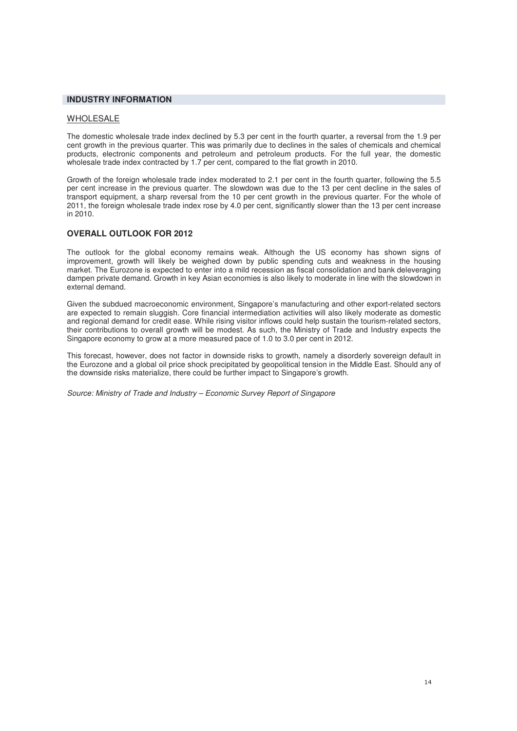### **INDUSTRY INFORMATION**

#### WHOLESALE

The domestic wholesale trade index declined by 5.3 per cent in the fourth quarter, a reversal from the 1.9 per cent growth in the previous quarter. This was primarily due to declines in the sales of chemicals and chemical products, electronic components and petroleum and petroleum products. For the full year, the domestic wholesale trade index contracted by 1.7 per cent, compared to the flat growth in 2010.

Growth of the foreign wholesale trade index moderated to 2.1 per cent in the fourth quarter, following the 5.5 per cent increase in the previous quarter. The slowdown was due to the 13 per cent decline in the sales of transport equipment, a sharp reversal from the 10 per cent growth in the previous quarter. For the whole of 2011, the foreign wholesale trade index rose by 4.0 per cent, significantly slower than the 13 per cent increase in 2010.

#### **OVERALL OUTLOOK FOR 2012**

The outlook for the global economy remains weak. Although the US economy has shown signs of improvement, growth will likely be weighed down by public spending cuts and weakness in the housing market. The Eurozone is expected to enter into a mild recession as fiscal consolidation and bank deleveraging dampen private demand. Growth in key Asian economies is also likely to moderate in line with the slowdown in external demand.

Given the subdued macroeconomic environment, Singapore's manufacturing and other export-related sectors are expected to remain sluggish. Core financial intermediation activities will also likely moderate as domestic and regional demand for credit ease. While rising visitor inflows could help sustain the tourism-related sectors, their contributions to overall growth will be modest. As such, the Ministry of Trade and Industry expects the Singapore economy to grow at a more measured pace of 1.0 to 3.0 per cent in 2012.

This forecast, however, does not factor in downside risks to growth, namely a disorderly sovereign default in the Eurozone and a global oil price shock precipitated by geopolitical tension in the Middle East. Should any of the downside risks materialize, there could be further impact to Singapore's growth.

Source: Ministry of Trade and Industry – Economic Survey Report of Singapore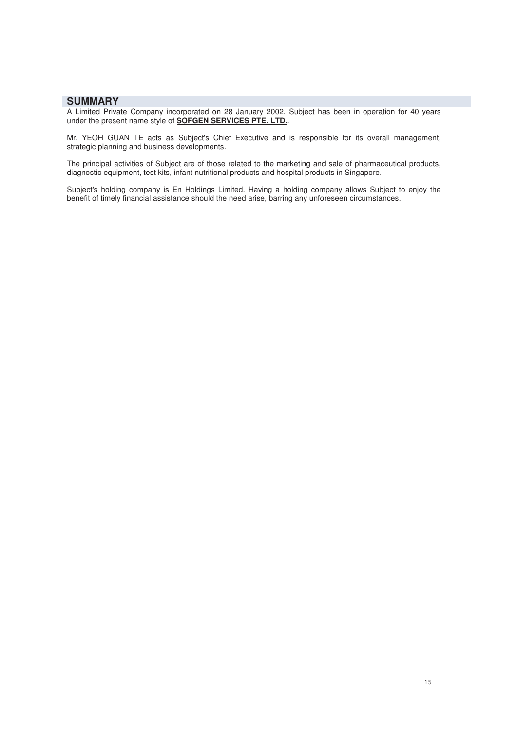### **SUMMARY**

A Limited Private Company incorporated on 28 January 2002, Subject has been in operation for 40 years under the present name style of **SOFGEN SERVICES PTE. LTD.**.

Mr. YEOH GUAN TE acts as Subject's Chief Executive and is responsible for its overall management, strategic planning and business developments.

The principal activities of Subject are of those related to the marketing and sale of pharmaceutical products, diagnostic equipment, test kits, infant nutritional products and hospital products in Singapore.

Subject's holding company is En Holdings Limited. Having a holding company allows Subject to enjoy the benefit of timely financial assistance should the need arise, barring any unforeseen circumstances.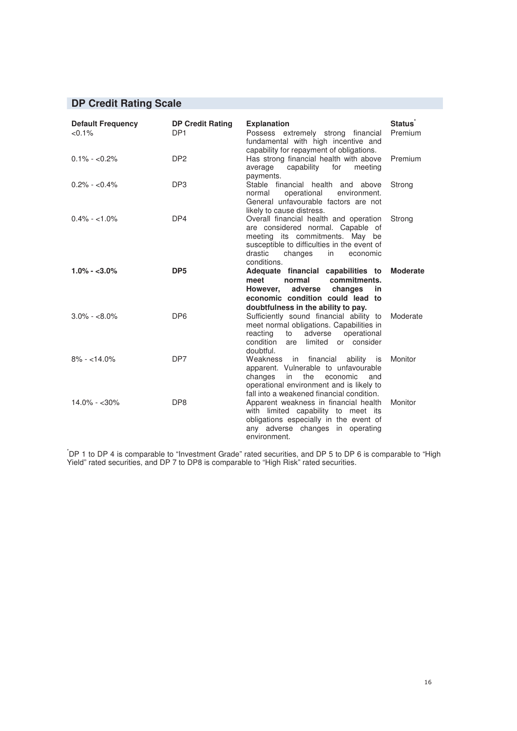### **DP Credit Rating Scale**

| <b>Default Frequency</b><br>$< 0.1\%$ | <b>DP Credit Rating</b><br>DP <sub>1</sub> | <b>Explanation</b><br>Possess extremely strong financial<br>fundamental with high incentive and<br>capability for repayment of obligations.                                                                       | <b>Status</b><br>Premium |
|---------------------------------------|--------------------------------------------|-------------------------------------------------------------------------------------------------------------------------------------------------------------------------------------------------------------------|--------------------------|
| $0.1\% - <0.2\%$                      | DP <sub>2</sub>                            | Has strong financial health with above<br>capability for<br>average<br>meeting<br>payments.                                                                                                                       | Premium                  |
| $0.2\% - <0.4\%$                      | DP <sub>3</sub>                            | Stable financial health and above<br>operational<br>normal<br>environment.<br>General unfavourable factors are not<br>likely to cause distress.                                                                   | Strong                   |
| $0.4\% - 1.0\%$                       | DP4                                        | Overall financial health and operation<br>are considered normal. Capable of<br>meeting its commitments. May be<br>susceptible to difficulties in the event of<br>changes in<br>drastic<br>economic<br>conditions. | Strong                   |
| $1.0\% - 3.0\%$                       | DP <sub>5</sub>                            | Adequate financial capabilities to<br>normal<br>commitments.<br>meet<br>However, adverse changes<br>in<br>economic condition could lead to<br>doubtfulness in the ability to pay.                                 | <b>Moderate</b>          |
| $3.0\% - <8.0\%$                      | DP <sub>6</sub>                            | Sufficiently sound financial ability to<br>meet normal obligations. Capabilities in<br>reacting<br>operational<br>to<br>adverse<br>condition<br>are limited or consider<br>doubtful.                              | Moderate                 |
| $8\% - 14.0\%$                        | DP7                                        | Weakness in financial<br>ability is<br>apparent. Vulnerable to unfavourable<br>the<br>changes<br>in<br>economic<br>and<br>operational environment and is likely to<br>fall into a weakened financial condition.   | <b>Monitor</b>           |
| $14.0\% - 30\%$                       | DP <sub>8</sub>                            | Apparent weakness in financial health<br>with limited capability to meet its<br>obligations especially in the event of<br>any adverse changes in operating<br>environment.                                        | Monitor                  |

\* DP 1 to DP 4 is comparable to "Investment Grade" rated securities, and DP 5 to DP 6 is comparable to "High Yield" rated securities, and DP 7 to DP8 is comparable to "High Risk" rated securities.